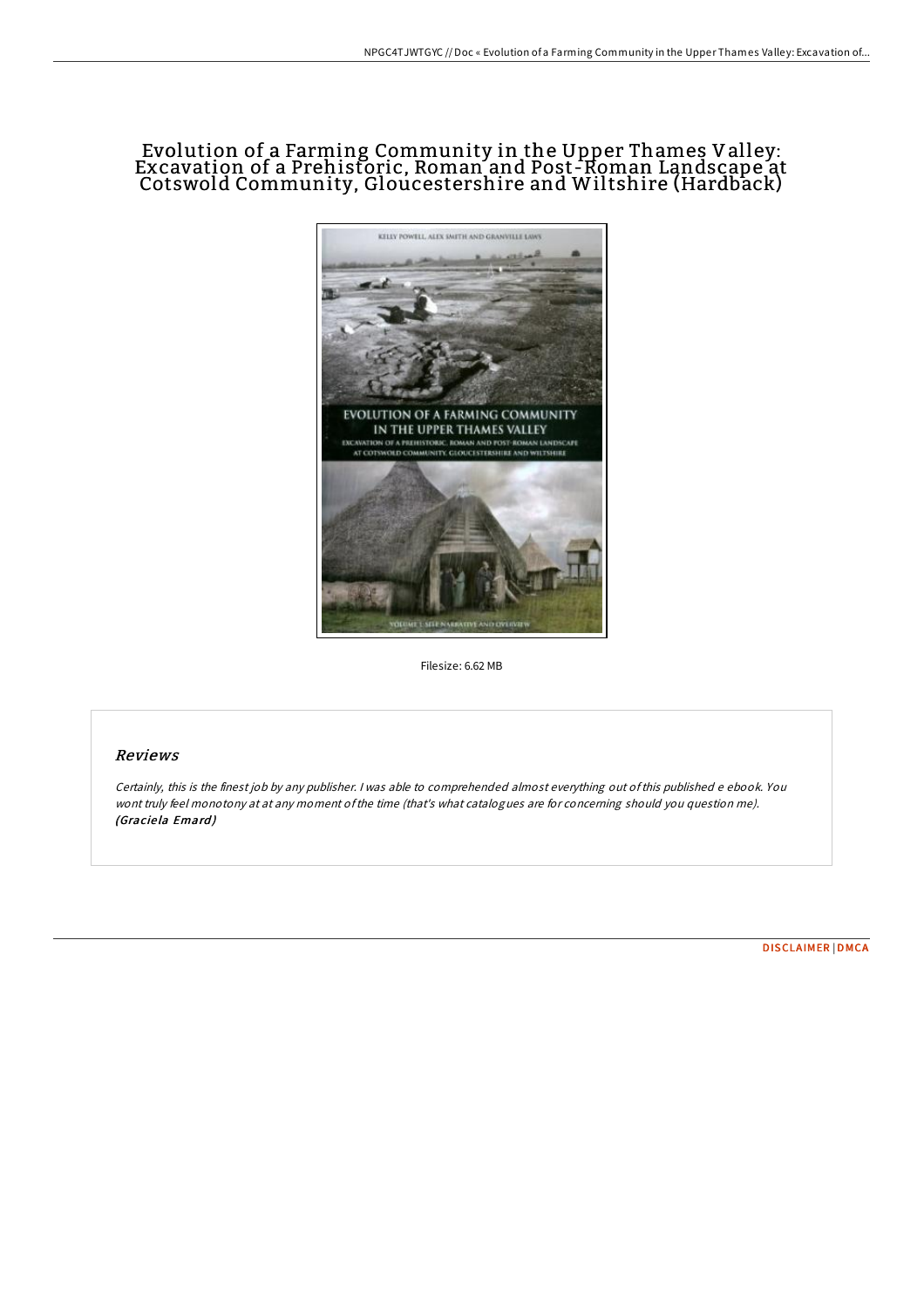# Evolution of a Farming Community in the Upper Thames Valley: Excavation of a Prehistoric, Roman and Post-Roman Landscape at Cotswold Community, Gloucestershire and Wiltshire (Hardback)



Filesize: 6.62 MB

## Reviews

Certainly, this is the finest job by any publisher. <sup>I</sup> was able to comprehended almost everything out ofthis published <sup>e</sup> ebook. You wont truly feel monotony at at any moment ofthe time (that's what catalogues are for concerning should you question me). (Graciela Emard)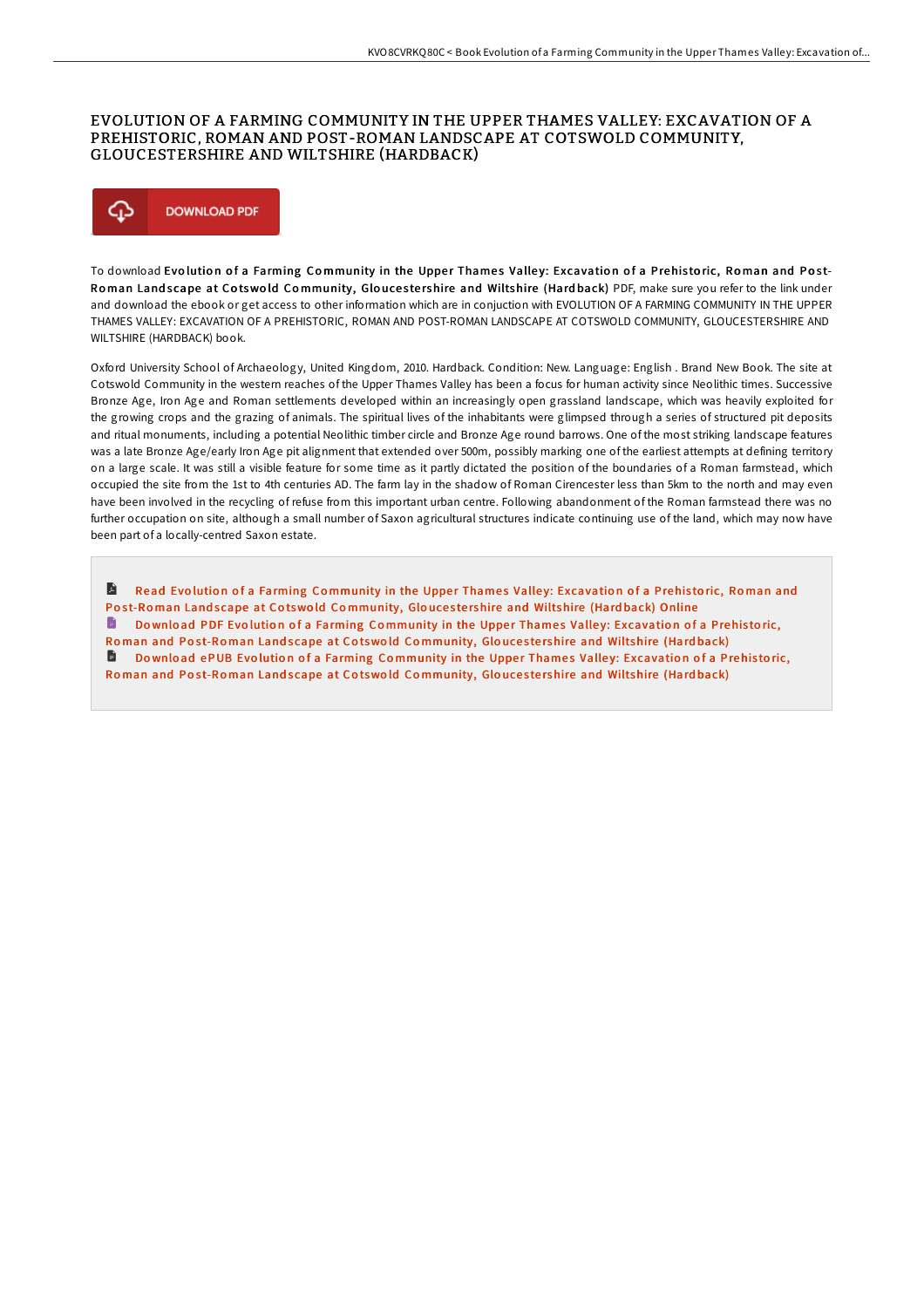### EVOLUTION OF A FARMING COMMUNITY IN THE UPPER THAMES VALLEY: EXCAVATION OF A PREHISTORIC, ROMAN AND POST-ROMAN LANDSCAPE AT COTSWOLD COMMUNITY, GLOUCESTERSHIRE AND WILTSHIRE (HARDBACK)



To download Evolution of a Farming Community in the Upper Thames Valley: Excavation of a Prehistoric, Roman and Post-Roman Land scape at Cotswold Community, Gloucestershire and Wiltshire (Hard back) PDF, make sure you refer to the link under and download the ebook or get access to other information which are in conjuction with EVOLUTION OF A FARMING COMMUNITY IN THE UPPER THAMES VALLEY: EXCAVATION OF A PREHISTORIC, ROMAN AND POST-ROMAN LANDSCAPE AT COTSWOLD COMMUNITY, GLOUCESTERSHIRE AND WILTSHIRE (HARDBACK) book.

Oxford University School of Archaeology, United Kingdom, 2010. Hardback. Condition: New. Language: English . Brand New Book. The site at Cotswold Community in the western reaches of the Upper Thames Valley has been a focus for human activity since Neolithic times. Successive Bronze Age, Iron Age and Roman settlements developed within an increasingly open grassland landscape, which was heavily exploited for the growing crops and the grazing of animals. The spiritual lives of the inhabitants were glimpsed through a series of structured pit deposits and ritual monuments, including a potential Neolithic timber circle and Bronze Age round barrows. One of the most striking landscape features was a late Bronze Age/early Iron Age pit alignment that extended over 500m, possibly marking one of the earliest attempts at defining territory on a large scale. It was still a visible feature for some time as it partly dictated the position of the boundaries of a Roman farmstead, which occupied the site from the 1st to 4th centuries AD. The farm lay in the shadow of Roman Cirencester less than 5km to the north and may even have been involved in the recycling of refuse from this important urban centre. Following abandonment of the Roman farmstead there was no further occupation on site, although a small number of Saxon agricultural structures indicate continuing use of the land, which may now have been part of a locally-centred Saxon estate.

A Read Evolution of a Farming Community in the Upper Thames Valley: [Excavatio](http://almighty24.tech/evolution-of-a-farming-community-in-the-upper-th.html)n of a Prehistoric, Roman and Post-Roman Landscape at Cotswold Community, Gloucestershire and Wiltshire (Hardback) Online Do wnload PDF Evolution of a Farming Community in the Upper Thames Valley: [Excavatio](http://almighty24.tech/evolution-of-a-farming-community-in-the-upper-th.html)n of a Prehistoric, Roman and Post-Roman Land scape at Cotswold Community, Gloucestershire and Wiltshire (Hardback) D., Download ePUB Evolution of a Farming Community in the Upper Thames Valley: [Excavatio](http://almighty24.tech/evolution-of-a-farming-community-in-the-upper-th.html)n of a Prehistoric, Roman and Post-Roman Landscape at Cotswold Community, Gloucestershire and Wiltshire (Hardback)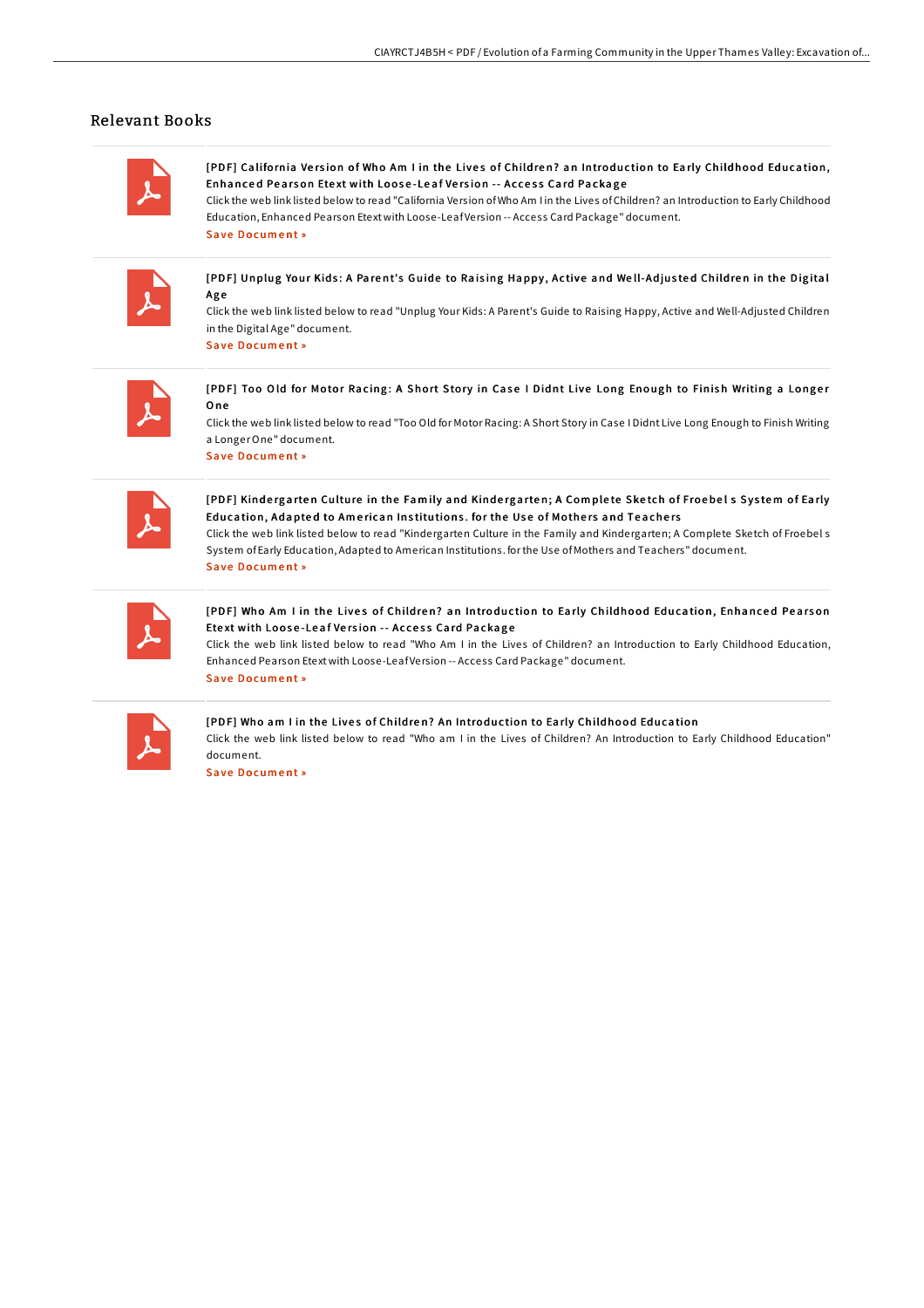### Relevant Books

[PDF] California Version of Who Am I in the Lives of Children? an Introduction to Early Childhood Education, Enhanced Pearson Etext with Loose-Leaf Version -- Access Card Package

Click the web link listed below to read "California Version ofWho Am I in the Lives ofChildren? an Introduction to Early Childhood Education, Enhanced Pearson Etext with Loose-LeafVersion -- Access Card Package" document. Save [Docum](http://almighty24.tech/california-version-of-who-am-i-in-the-lives-of-c.html)ent »

[PDF] Unplug Your Kids: A Parent's Guide to Raising Happy, Active and Well-Adjusted Children in the Digital Ag e

Click the web link listed below to read "Unplug Your Kids: A Parent's Guide to Raising Happy, Active and Well-Adjusted Children in the Digital Age" document.

S a ve [Docum](http://almighty24.tech/unplug-your-kids-a-parent-x27-s-guide-to-raising.html) e nt »

[PDF] Too Old for Motor Racing: A Short Story in Case I Didnt Live Long Enough to Finish Writing a Longer O ne

Click the web link listed below to read "Too Old for Motor Racing: A Short Story in Case I Didnt Live Long Enough to Finish Writing a LongerOne" document. S a ve [Docum](http://almighty24.tech/too-old-for-motor-racing-a-short-story-in-case-i.html) e nt »

[PDF] Kindergarten Culture in the Family and Kindergarten; A Complete Sketch of Froebel s System of Early Education, Adapted to American Institutions. for the Use of Mothers and Teachers Click the web link listed below to read "Kindergarten Culture in the Family and Kindergarten; A Complete Sketch of Froebel s

System ofEarly Education, Adapted to American Institutions. forthe Use ofMothers and Teachers" document. Save [Docum](http://almighty24.tech/kindergarten-culture-in-the-family-and-kindergar.html)ent »

[PDF] Who Am I in the Lives of Children? an Introduction to Early Childhood Education, Enhanced Pearson Etext with Loose-Leaf Version -- Access Card Package

Click the web link listed below to read "Who Am I in the Lives of Children? an Introduction to Early Childhood Education, Enhanced Pearson Etext with Loose-LeafVersion -- Access Card Package" document. Save [Docum](http://almighty24.tech/who-am-i-in-the-lives-of-children-an-introductio.html)ent »

#### [PDF] Who am I in the Lives of Children? An Introduction to Early Childhood Education

Click the web link listed below to read "Who am I in the Lives of Children? An Introduction to Early Childhood Education" document.

Save [Docum](http://almighty24.tech/who-am-i-in-the-lives-of-children-an-introductio-1.html)ent »